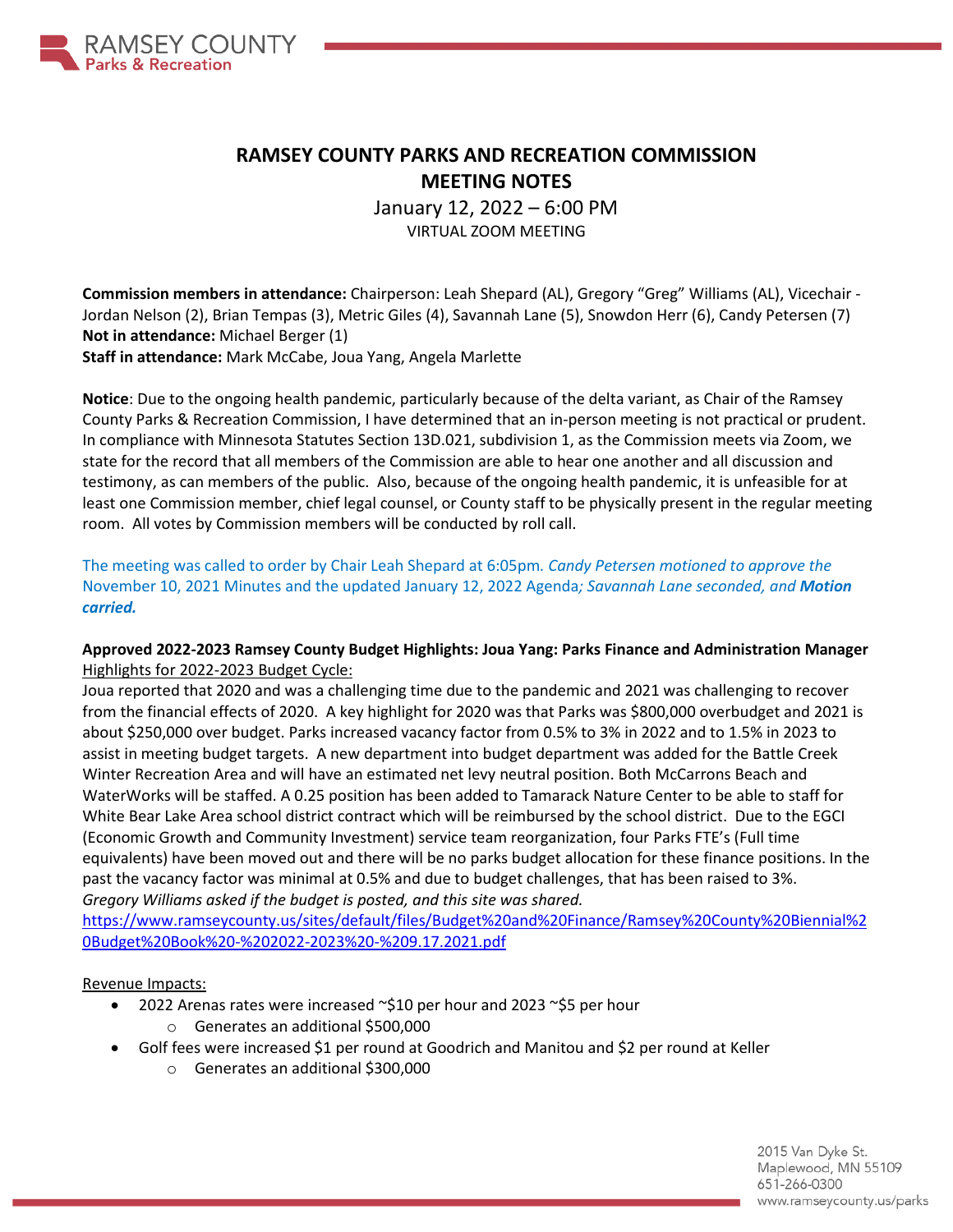

# **RAMSEY COUNTY PARKS AND RECREATION COMMISSION MEETING NOTES**

January 12, 2022 – 6:00 PM VIRTUAL ZOOM MEETING

**Commission members in attendance:** Chairperson: Leah Shepard (AL), Gregory "Greg" Williams (AL), Vicechair - Jordan Nelson (2), Brian Tempas (3), Metric Giles (4), Savannah Lane (5), Snowdon Herr (6), Candy Petersen (7) **Not in attendance:** Michael Berger (1) **Staff in attendance:** Mark McCabe, Joua Yang, Angela Marlette

**Notice**: Due to the ongoing health pandemic, particularly because of the delta variant, as Chair of the Ramsey County Parks & Recreation Commission, I have determined that an in-person meeting is not practical or prudent. In compliance with Minnesota Statutes Section 13D.021, subdivision 1, as the Commission meets via Zoom, we state for the record that all members of the Commission are able to hear one another and all discussion and testimony, as can members of the public. Also, because of the ongoing health pandemic, it is unfeasible for at least one Commission member, chief legal counsel, or County staff to be physically present in the regular meeting room. All votes by Commission members will be conducted by roll call.

The meeting was called to order by Chair Leah Shepard at 6:05pm*. Candy Petersen motioned to approve the* November 10, 2021 Minutes and the updated January 12, 2022 Agenda*; Savannah Lane seconded, and Motion carried.*

### **Approved 2022-2023 Ramsey County Budget Highlights: Joua Yang: Parks Finance and Administration Manager** Highlights for 2022-2023 Budget Cycle:

Joua reported that 2020 and was a challenging time due to the pandemic and 2021 was challenging to recover from the financial effects of 2020. A key highlight for 2020 was that Parks was \$800,000 overbudget and 2021 is about \$250,000 over budget. Parks increased vacancy factor from 0.5% to 3% in 2022 and to 1.5% in 2023 to assist in meeting budget targets. A new department into budget department was added for the Battle Creek Winter Recreation Area and will have an estimated net levy neutral position. Both McCarrons Beach and WaterWorks will be staffed. A 0.25 position has been added to Tamarack Nature Center to be able to staff for White Bear Lake Area school district contract which will be reimbursed by the school district. Due to the EGCI (Economic Growth and Community Investment) service team reorganization, four Parks FTE's (Full time equivalents) have been moved out and there will be no parks budget allocation for these finance positions. In the past the vacancy factor was minimal at 0.5% and due to budget challenges, that has been raised to 3%. *Gregory Williams asked if the budget is posted, and this site was shared.* 

[https://www.ramseycounty.us/sites/default/files/Budget%20and%20Finance/Ramsey%20County%20Biennial%2](https://www.ramseycounty.us/sites/default/files/Budget%20and%20Finance/Ramsey%20County%20Biennial%20Budget%20Book%20-%202022-2023%20-%209.17.2021.pdf) [0Budget%20Book%20-%202022-2023%20-%209.17.2021.pdf](https://www.ramseycounty.us/sites/default/files/Budget%20and%20Finance/Ramsey%20County%20Biennial%20Budget%20Book%20-%202022-2023%20-%209.17.2021.pdf)

### Revenue Impacts:

- 2022 Arenas rates were increased ~\$10 per hour and 2023 ~\$5 per hour o Generates an additional \$500,000
- Golf fees were increased \$1 per round at Goodrich and Manitou and \$2 per round at Keller
	- o Generates an additional \$300,000

2015 Van Dyke St. Maplewood, MN 55109 651-266-0300 www.ramseycounty.us/parks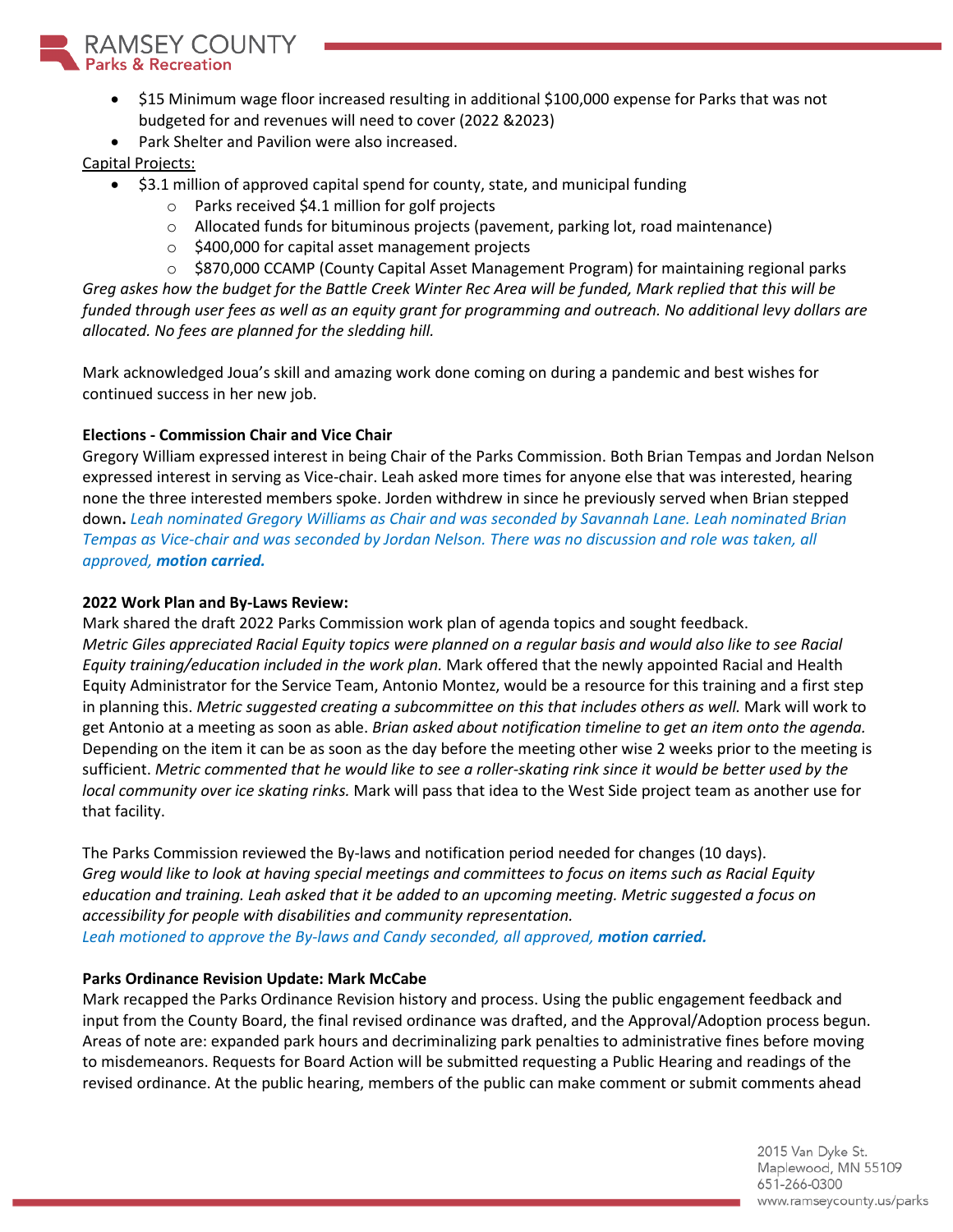

- \$15 Minimum wage floor increased resulting in additional \$100,000 expense for Parks that was not budgeted for and revenues will need to cover (2022 &2023)
- Park Shelter and Pavilion were also increased.

# Capital Projects:

- \$3.1 million of approved capital spend for county, state, and municipal funding
	- o Parks received \$4.1 million for golf projects
	- o Allocated funds for bituminous projects (pavement, parking lot, road maintenance)
	- o \$400,000 for capital asset management projects
	- $\circ$  \$870,000 CCAMP (County Capital Asset Management Program) for maintaining regional parks

*Greg askes how the budget for the Battle Creek Winter Rec Area will be funded, Mark replied that this will be funded through user fees as well as an equity grant for programming and outreach. No additional levy dollars are allocated. No fees are planned for the sledding hill.* 

Mark acknowledged Joua's skill and amazing work done coming on during a pandemic and best wishes for continued success in her new job.

# **Elections - Commission Chair and Vice Chair**

Gregory William expressed interest in being Chair of the Parks Commission. Both Brian Tempas and Jordan Nelson expressed interest in serving as Vice-chair. Leah asked more times for anyone else that was interested, hearing none the three interested members spoke. Jorden withdrew in since he previously served when Brian stepped down**.** *Leah nominated Gregory Williams as Chair and was seconded by Savannah Lane. Leah nominated Brian Tempas as Vice-chair and was seconded by Jordan Nelson. There was no discussion and role was taken, all approved, motion carried.*

# **2022 Work Plan and By-Laws Review:**

Mark shared the draft 2022 Parks Commission work plan of agenda topics and sought feedback. *Metric Giles appreciated Racial Equity topics were planned on a regular basis and would also like to see Racial Equity training/education included in the work plan.* Mark offered that the newly appointed Racial and Health Equity Administrator for the Service Team, Antonio Montez, would be a resource for this training and a first step in planning this. *Metric suggested creating a subcommittee on this that includes others as well.* Mark will work to get Antonio at a meeting as soon as able. *Brian asked about notification timeline to get an item onto the agenda.* Depending on the item it can be as soon as the day before the meeting other wise 2 weeks prior to the meeting is sufficient. *Metric commented that he would like to see a roller-skating rink since it would be better used by the local community over ice skating rinks.* Mark will pass that idea to the West Side project team as another use for that facility.

The Parks Commission reviewed the By-laws and notification period needed for changes (10 days). *Greg would like to look at having special meetings and committees to focus on items such as Racial Equity education and training. Leah asked that it be added to an upcoming meeting. Metric suggested a focus on accessibility for people with disabilities and community representation. Leah motioned to approve the By-laws and Candy seconded, all approved, motion carried.*

### **Parks Ordinance Revision Update: Mark McCabe**

Mark recapped the Parks Ordinance Revision history and process. Using the public engagement feedback and input from the County Board, the final revised ordinance was drafted, and the Approval/Adoption process begun. Areas of note are: expanded park hours and decriminalizing park penalties to administrative fines before moving to misdemeanors. Requests for Board Action will be submitted requesting a Public Hearing and readings of the revised ordinance. At the public hearing, members of the public can make comment or submit comments ahead

> 2015 Van Dyke St. Maplewood, MN 55109 651-266-0300 www.ramseycounty.us/parks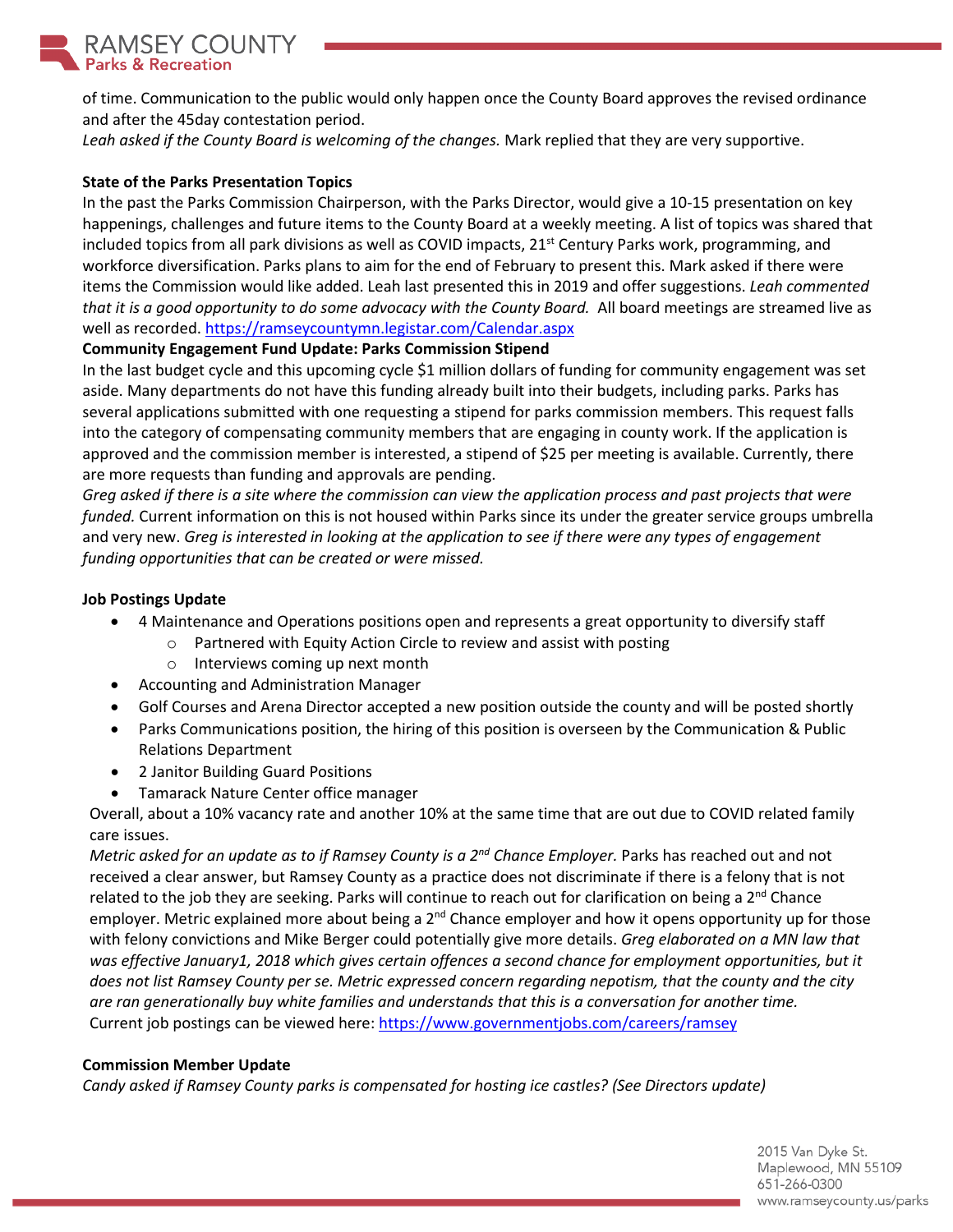

of time. Communication to the public would only happen once the County Board approves the revised ordinance and after the 45day contestation period.

*Leah asked if the County Board is welcoming of the changes.* Mark replied that they are very supportive.

### **State of the Parks Presentation Topics**

In the past the Parks Commission Chairperson, with the Parks Director, would give a 10-15 presentation on key happenings, challenges and future items to the County Board at a weekly meeting. A list of topics was shared that included topics from all park divisions as well as COVID impacts, 21<sup>st</sup> Century Parks work, programming, and workforce diversification. Parks plans to aim for the end of February to present this. Mark asked if there were items the Commission would like added. Leah last presented this in 2019 and offer suggestions. *Leah commented that it is a good opportunity to do some advocacy with the County Board.* All board meetings are streamed live as well as recorded.<https://ramseycountymn.legistar.com/Calendar.aspx>

### **Community Engagement Fund Update: Parks Commission Stipend**

In the last budget cycle and this upcoming cycle \$1 million dollars of funding for community engagement was set aside. Many departments do not have this funding already built into their budgets, including parks. Parks has several applications submitted with one requesting a stipend for parks commission members. This request falls into the category of compensating community members that are engaging in county work. If the application is approved and the commission member is interested, a stipend of \$25 per meeting is available. Currently, there are more requests than funding and approvals are pending.

*Greg asked if there is a site where the commission can view the application process and past projects that were funded.* Current information on this is not housed within Parks since its under the greater service groups umbrella and very new. *Greg is interested in looking at the application to see if there were any types of engagement funding opportunities that can be created or were missed.* 

### **Job Postings Update**

- 4 Maintenance and Operations positions open and represents a great opportunity to diversify staff
	- o Partnered with Equity Action Circle to review and assist with posting
	- o Interviews coming up next month
- Accounting and Administration Manager
- Golf Courses and Arena Director accepted a new position outside the county and will be posted shortly
- Parks Communications position, the hiring of this position is overseen by the Communication & Public Relations Department
- 2 Janitor Building Guard Positions
- Tamarack Nature Center office manager

Overall, about a 10% vacancy rate and another 10% at the same time that are out due to COVID related family care issues.

*Metric asked for an update as to if Ramsey County is a 2nd Chance Employer.* Parks has reached out and not received a clear answer, but Ramsey County as a practice does not discriminate if there is a felony that is not related to the job they are seeking. Parks will continue to reach out for clarification on being a 2<sup>nd</sup> Chance employer. Metric explained more about being a  $2<sup>nd</sup>$  Chance employer and how it opens opportunity up for those with felony convictions and Mike Berger could potentially give more details. *Greg elaborated on a MN law that was effective January1, 2018 which gives certain offences a second chance for employment opportunities, but it does not list Ramsey County per se. Metric expressed concern regarding nepotism, that the county and the city are ran generationally buy white families and understands that this is a conversation for another time.*  Current job postings can be viewed here[: https://www.governmentjobs.com/careers/ramsey](https://www.governmentjobs.com/careers/ramsey)

### **Commission Member Update**

*Candy asked if Ramsey County parks is compensated for hosting ice castles? (See Directors update)*